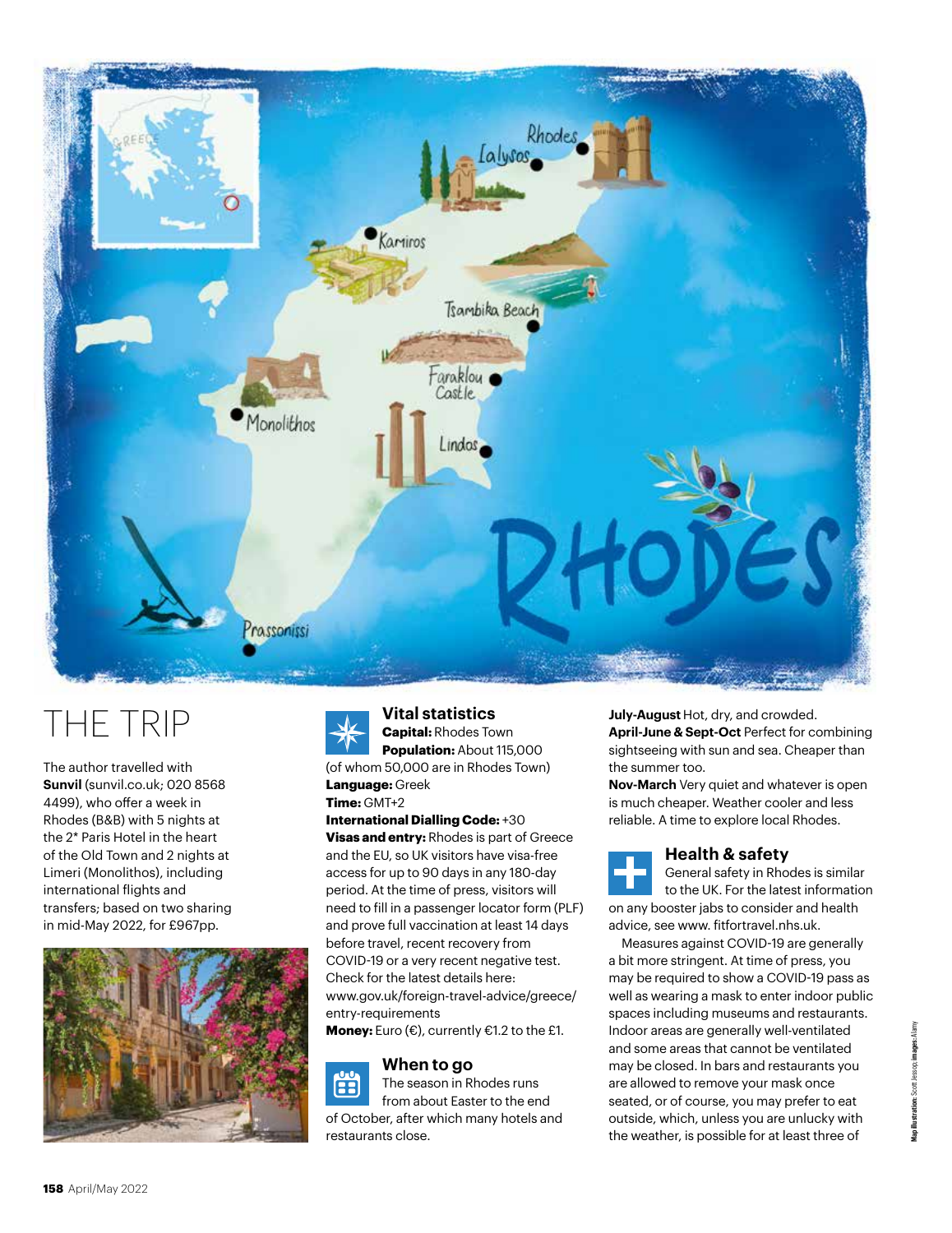

# THE TRIP

The author travelled with **Sunvil** (sunvil.co.uk; 020 8568 4499), who offer a week in Rhodes (B&B) with 5 nights at the 2\* Paris Hotel in the heart of the Old Town and 2 nights at Limeri (Monolithos), including international flights and transfers; based on two sharing in mid-May 2022, for £967pp.





**Vital statistics Capital:** Rhodes Town

**Population:** About 115,000 (of whom 50,000 are in Rhodes Town) **Language:** Greek

**Time:** GMT+2

### **International Dialling Code:** +30

**Visas and entry:** Rhodes is part of Greece and the EU, so UK visitors have visa-free access for up to 90 days in any 180-day period. At the time of press, visitors will need to fill in a passenger locator form (PLF) and prove full vaccination at least 14 days before travel, recent recovery from COVID-19 or a very recent negative test. Check for the latest details here: www.gov.uk/foreign-travel-advice/greece/ entry-requirements

**Money:** Euro (€), currently €1.2 to the £1.

# **When to go**



The season in Rhodes runs from about Easter to the end of October, after which many hotels and restaurants close.

**July-August** Hot, dry, and crowded. **April-June & Sept-Oct** Perfect for combining

sightseeing with sun and sea. Cheaper than the summer too. **Nov-March** Very quiet and whatever is open

is much cheaper. Weather cooler and less reliable. A time to explore local Rhodes.



# **Health & safety**

General safety in Rhodes is similar to the UK. For the latest information on any booster jabs to consider and health advice, see www. fitfortravel.nhs.uk.

Measures against COVID-19 are generally a bit more stringent. At time of press, you may be required to show a COVID-19 pass as well as wearing a mask to enter indoor public spaces including museums and restaurants. Indoor areas are generally well-ventilated and some areas that cannot be ventilated may be closed. In bars and restaurants you are allowed to remove your mask once seated, or of course, you may prefer to eat outside, which, unless you are unlucky with the weather, is possible for at least three of